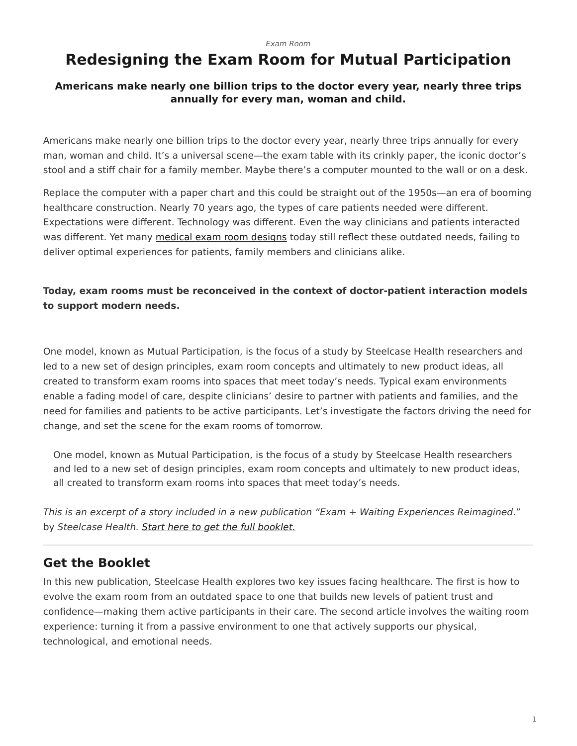#### *[Exam Room](https://www.steelcase.com/research/topics/medical-exam-room/)*

# <span id="page-0-0"></span>**Redesigning the Exam Room for Mutual Participation**

#### **Americans make nearly one billion trips to the doctor every year, nearly three trips annually for every man, woman and child.**

Americans make nearly one billion trips to the doctor every year, nearly three trips annually for every man, woman and child. It's a universal scene—the exam table with its crinkly paper, the iconic doctor's stool and a stiff chair for a family member. Maybe there's a computer mounted to the wall or on a desk.

Replace the computer with a paper chart and this could be straight out of the 1950s—an era of booming healthcare construction. Nearly 70 years ago, the types of care patients needed were different. Expectations were different. Technology was different. Even the way clinicians and patients interacted was different. Yet many [medical exam room designs](https://www.steelcase.com/spaces-inspiration/health-spaces-exam/) today still reflect these outdated needs, failing to deliver optimal experiences for patients, family members and clinicians alike.

### **Today, exam rooms must be reconceived in the context of doctor-patient interaction models to support modern needs.**

One model, known as Mutual Participation, is the focus of a study by Steelcase Health researchers and led to a new set of design principles, exam room concepts and ultimately to new product ideas, all created to transform exam rooms into spaces that meet today's needs. Typical exam environments enable a fading model of care, despite clinicians' desire to partner with patients and families, and the need for families and patients to be active participants. Let's investigate the factors driving the need for change, and set the scene for the exam rooms of tomorrow.

One model, known as Mutual Participation, is the focus of a study by Steelcase Health researchers and led to a new set of design principles, exam room concepts and ultimately to new product ideas, all created to transform exam rooms into spaces that meet today's needs.

*This is an excerpt of a story included in a new publication "Exam + Waiting Experiences Reimagined*." by *Steelcase Health. [Start here to get the full booklet.](http://info.steelcase.com/steelcase-health-special-edition-download?utm_source=Steelcase.com&utm_medium=BlogPost&utm_campaign=2016-NeoCon-Health)*

# **Get the Booklet**

In this new publication, Steelcase Health explores two key issues facing healthcare. The first is how to evolve the exam room from an outdated space to one that builds new levels of patient trust and confidence—making them active participants in their care. The second article involves the waiting room experience: turning it from a passive environment to one that actively supports our physical, technological, and emotional needs.